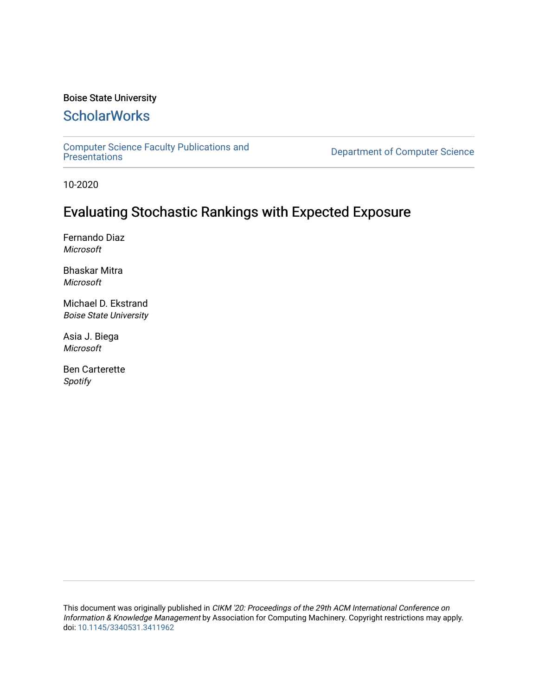## Boise State University

# **ScholarWorks**

[Computer Science Faculty Publications and](https://scholarworks.boisestate.edu/cs_facpubs) 

Department of Computer Science

10-2020

# Evaluating Stochastic Rankings with Expected Exposure

Fernando Diaz Microsoft

Bhaskar Mitra Microsoft

Michael D. Ekstrand Boise State University

Asia J. Biega Microsoft

Ben Carterette Spotify

This document was originally published in CIKM '20: Proceedings of the 29th ACM International Conference on Information & Knowledge Management by Association for Computing Machinery. Copyright restrictions may apply. doi: [10.1145/3340531.3411962](https://dx.doi.org/10.1145/3340531.3411962)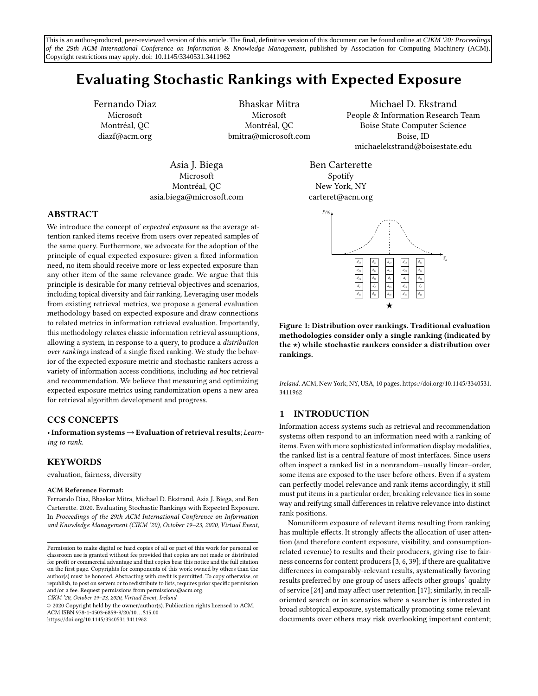## Evaluating Stochastic Rankings with Expected Exposure

Fernando Diaz Microsoft Montréal, QC diazf@acm.org

Bhaskar Mitra Microsoft Montréal, QC bmitra@microsoft.com

Asia J. Biega Microsoft Montréal, QC asia.biega@microsoft.com

Michael D. Ekstrand People & Information Research Team Boise State Computer Science Boise, ID michaelekstrand@boisestate.edu

Ben Carterette Spotify New York, NY carteret@acm.org

<span id="page-1-0"></span>

Figure 1: Distribution over rankings. Traditional evaluation methodologies consider only a single ranking (indicated by the  $\star$ ) while stochastic rankers consider a distribution over rankings.

Ireland. ACM, New York, NY, USA, [10](#page-10-0) pages. [https://doi.org/10.1145/3340531.](https://doi.org/10.1145/3340531.3411962) [3411962](https://doi.org/10.1145/3340531.3411962)

## 1 INTRODUCTION

Information access systems such as retrieval and recommendation systems often respond to an information need with a ranking of items. Even with more sophisticated information display modalities, the ranked list is a central feature of most interfaces. Since users often inspect a ranked list in a nonrandom–usually linear–order, some items are exposed to the user before others. Even if a system can perfectly model relevance and rank items accordingly, it still must put items in a particular order, breaking relevance ties in some way and reifying small differences in relative relevance into distinct rank positions.

Nonuniform exposure of relevant items resulting from ranking has multiple effects. It strongly affects the allocation of user attention (and therefore content exposure, visibility, and consumptionrelated revenue) to results and their producers, giving rise to fairness concerns for content producers [\[3,](#page-9-0) [6,](#page-9-1) [39\]](#page-10-1); if there are qualitative differences in comparably-relevant results, systematically favoring results preferred by one group of users affects other groups' quality of service [\[24\]](#page-10-2) and may affect user retention [\[17\]](#page-10-3); similarly, in recalloriented search or in scenarios where a searcher is interested in broad subtopical exposure, systematically promoting some relevant documents over others may risk overlooking important content;

## ABSTRACT

We introduce the concept of expected exposure as the average attention ranked items receive from users over repeated samples of the same query. Furthermore, we advocate for the adoption of the principle of equal expected exposure: given a fixed information need, no item should receive more or less expected exposure than any other item of the same relevance grade. We argue that this principle is desirable for many retrieval objectives and scenarios, including topical diversity and fair ranking. Leveraging user models from existing retrieval metrics, we propose a general evaluation methodology based on expected exposure and draw connections to related metrics in information retrieval evaluation. Importantly, this methodology relaxes classic information retrieval assumptions, allowing a system, in response to a query, to produce a distribution over rankings instead of a single fixed ranking. We study the behavior of the expected exposure metric and stochastic rankers across a variety of information access conditions, including ad hoc retrieval and recommendation. We believe that measuring and optimizing expected exposure metrics using randomization opens a new area for retrieval algorithm development and progress.

## CCS CONCEPTS

•Information systems→Evaluation of retrieval results; Learning to rank.

## KEYWORDS

evaluation, fairness, diversity

#### ACM Reference Format:

Fernando Diaz, Bhaskar Mitra, Michael D. Ekstrand, Asia J. Biega, and Ben Carterette. 2020. Evaluating Stochastic Rankings with Expected Exposure. In Proceedings of the 29th ACM International Conference on Information and Knowledge Management (CIKM '20), October 19–23, 2020, Virtual Event,

CIKM '20, October 19–23, 2020, Virtual Event, Ireland

© 2020 Copyright held by the owner/author(s). Publication rights licensed to ACM. ACM ISBN 978-1-4503-6859-9/20/10. . . \$15.00 <https://doi.org/10.1145/3340531.3411962>

Permission to make digital or hard copies of all or part of this work for personal or classroom use is granted without fee provided that copies are not made or distributed for profit or commercial advantage and that copies bear this notice and the full citation on the first page. Copyrights for components of this work owned by others than the author(s) must be honored. Abstracting with credit is permitted. To copy otherwise, or republish, to post on servers or to redistribute to lists, requires prior specific permission and/or a fee. Request permissions from permissions@acm.org.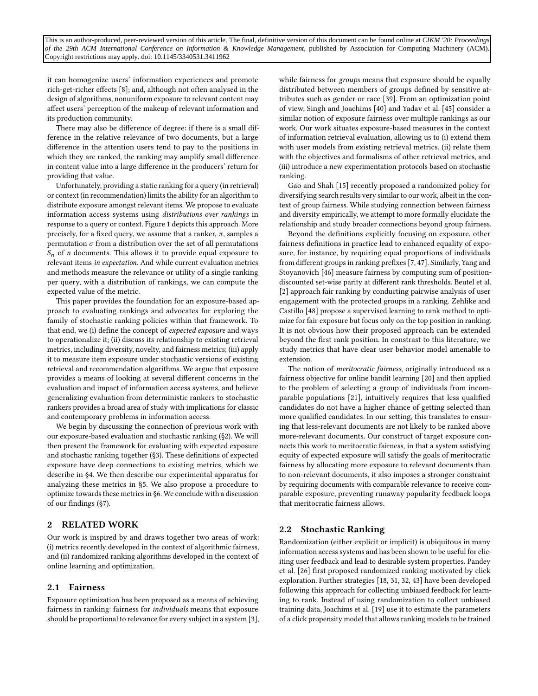it can homogenize users' information experiences and promote rich-get-richer effects [\[8\]](#page-9-2); and, although not often analysed in the design of algorithms, nonuniform exposure to relevant content may affect users' perception of the makeup of relevant information and its production community.

There may also be difference of degree: if there is a small difference in the relative relevance of two documents, but a large difference in the attention users tend to pay to the positions in which they are ranked, the ranking may amplify small difference in content value into a large difference in the producers' return for providing that value.

Unfortunately, providing a static ranking for a query (in retrieval) or context (in recommendation) limits the ability for an algorithm to distribute exposure amongst relevant items. We propose to evaluate information access systems using distributions over rankings in response to a query or context. Figure [1](#page-1-0) depicts this approach. More precisely, for a fixed query, we assume that a ranker,  $\pi$ , samples a permutation  $\sigma$  from a distribution over the set of all permutations  $S_n$  of *n* documents. This allows it to provide equal exposure to relevant items in expectation. And while current evaluation metrics and methods measure the relevance or utility of a single ranking per query, with a distribution of rankings, we can compute the expected value of the metric.

This paper provides the foundation for an exposure-based approach to evaluating rankings and advocates for exploring the family of stochastic ranking policies within that framework. To that end, we (i) define the concept of expected exposure and ways to operationalize it; (ii) discuss its relationship to existing retrieval metrics, including diversity, novelty, and fairness metrics; (iii) apply it to measure item exposure under stochastic versions of existing retrieval and recommendation algorithms. We argue that exposure provides a means of looking at several different concerns in the evaluation and impact of information access systems, and believe generalizing evaluation from deterministic rankers to stochastic rankers provides a broad area of study with implications for classic and contemporary problems in information access.

We begin by discussing the connection of previous work with our exposure-based evaluation and stochastic ranking ([§2\)](#page-2-0). We will then present the framework for evaluating with expected exposure and stochastic ranking together ([§3\)](#page-3-0). These definitions of expected exposure have deep connections to existing metrics, which we describe in [§4.](#page-4-0) We then describe our experimental apparatus for analyzing these metrics in [§5.](#page-5-0) We also propose a procedure to optimize towards these metrics in [§6.](#page-7-0) We conclude with a discussion of our findings ([§7\)](#page-9-3).

## <span id="page-2-0"></span>2 RELATED WORK

Our work is inspired by and draws together two areas of work: (i) metrics recently developed in the context of algorithmic fairness, and (ii) randomized ranking algorithms developed in the context of online learning and optimization.

#### 2.1 Fairness

Exposure optimization has been proposed as a means of achieving fairness in ranking: fairness for individuals means that exposure should be proportional to relevance for every subject in a system [\[3\]](#page-9-0), while fairness for groups means that exposure should be equally distributed between members of groups defined by sensitive attributes such as gender or race [\[39\]](#page-10-1). From an optimization point of view, Singh and Joachims [\[40\]](#page-10-4) and Yadav et al. [\[45\]](#page-10-5) consider a similar notion of exposure fairness over multiple rankings as our work. Our work situates exposure-based measures in the context of information retrieval evaluation, allowing us to (i) extend them with user models from existing retrieval metrics, (ii) relate them with the objectives and formalisms of other retrieval metrics, and (iii) introduce a new experimentation protocols based on stochastic ranking.

Gao and Shah [\[15\]](#page-10-6) recently proposed a randomized policy for diversifying search results very similar to our work, albeit in the context of group fairness. While studying connection between fairness and diversity empirically, we attempt to more formally elucidate the relationship and study broader connections beyond group fairness.

Beyond the definitions explicitly focusing on exposure, other fairness definitions in practice lead to enhanced equality of exposure, for instance, by requiring equal proportions of individuals from different groups in ranking prefixes [\[7,](#page-9-4) [47\]](#page-10-7). Similarly, Yang and Stoyanovich [\[46\]](#page-10-8) measure fairness by computing sum of positiondiscounted set-wise parity at different rank thresholds. Beutel et al. [\[2\]](#page-9-5) approach fair ranking by conducting pairwise analysis of user engagement with the protected groups in a ranking. Zehlike and Castillo [\[48\]](#page-10-9) propose a supervised learning to rank method to optimize for fair exposure but focus only on the top position in ranking. It is not obvious how their proposed approach can be extended beyond the first rank position. In constrast to this literature, we study metrics that have clear user behavior model amenable to extension.

The notion of *meritocratic fairness*, originally introduced as a fairness objective for online bandit learning [\[20\]](#page-10-10) and then applied to the problem of selecting a group of individuals from incomparable populations [\[21\]](#page-10-11), intuitively requires that less qualified candidates do not have a higher chance of getting selected than more qualified candidates. In our setting, this translates to ensuring that less-relevant documents are not likely to be ranked above more-relevant documents. Our construct of target exposure connects this work to meritocratic fairness, in that a system satisfying equity of expected exposure will satisfy the goals of meritocratic fairness by allocating more exposure to relevant documents than to non-relevant documents, it also imposes a stronger constraint by requiring documents with comparable relevance to receive comparable exposure, preventing runaway popularity feedback loops that meritocratic fairness allows.

## 2.2 Stochastic Ranking

Randomization (either explicit or implicit) is ubiquitous in many information access systems and has been shown to be useful for eliciting user feedback and lead to desirable system properties. Pandey et al. [\[26\]](#page-10-12) first proposed randomized ranking motivated by click exploration. Further strategies [\[18,](#page-10-13) [31,](#page-10-14) [32,](#page-10-15) [43\]](#page-10-16) have been developed following this approach for collecting unbiased feedback for learning to rank. Instead of using randomization to collect unbiased training data, Joachims et al. [\[19\]](#page-10-17) use it to estimate the parameters of a click propensity model that allows ranking models to be trained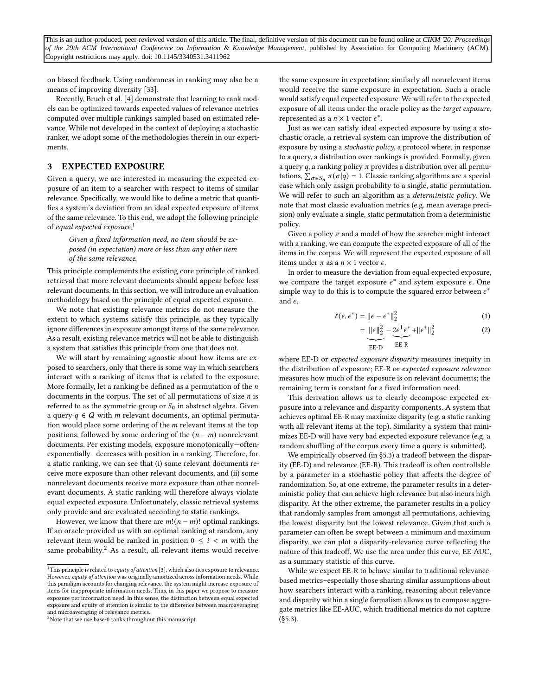on biased feedback. Using randomness in ranking may also be a means of improving diversity [\[33\]](#page-10-18).

Recently, Bruch et al. [\[4\]](#page-9-6) demonstrate that learning to rank models can be optimized towards expected values of relevance metrics computed over multiple rankings sampled based on estimated relevance. While not developed in the context of deploying a stochastic ranker, we adopt some of the methodologies therein in our experiments.

## <span id="page-3-0"></span>3 EXPECTED EXPOSURE

Given a query, we are interested in measuring the expected exposure of an item to a searcher with respect to items of similar relevance. Specifically, we would like to define a metric that quantifies a system's deviation from an ideal expected exposure of items of the same relevance. To this end, we adopt the following principle of equal expected exposure,<sup>[1](#page-3-1)</sup>

## Given a fixed information need, no item should be exposed (in expectation) more or less than any other item of the same relevance.

This principle complements the existing core principle of ranked retrieval that more relevant documents should appear before less relevant documents. In this section, we will introduce an evaluation methodology based on the principle of equal expected exposure.

We note that existing relevance metrics do not measure the extent to which systems satisfy this principle, as they typically ignore differences in exposure amongst items of the same relevance. As a result, existing relevance metrics will not be able to distinguish a system that satisfies this principle from one that does not.

We will start by remaining agnostic about how items are exposed to searchers, only that there is some way in which searchers interact with a ranking of items that is related to the exposure. More formally, let a ranking be defined as a permutation of the  $n$ documents in the corpus. The set of all permutations of size  $n$  is referred to as the symmetric group or  $S_n$  in abstract algebra. Given a query  $q \in Q$  with *m* relevant documents, an optimal permutation would place some ordering of the  $m$  relevant items at the top positions, followed by some ordering of the  $(n - m)$  nonrelevant documents. Per existing models, exposure monotonically—oftenexponentially—decreases with position in a ranking. Therefore, for a static ranking, we can see that (i) some relevant documents receive more exposure than other relevant documents, and (ii) some nonrelevant documents receive more exposure than other nonrelevant documents. A static ranking will therefore always violate equal expected exposure. Unfortunately, classic retrieval systems only provide and are evaluated according to static rankings.

However, we know that there are  $m!(n-m)!$  optimal rankings. If an oracle provided us with an optimal ranking at random, any relevant item would be ranked in position  $0 \le i \le m$  with the same probability. $^2$  $^2$  As a result, all relevant items would receive the same exposure in expectation; similarly all nonrelevant items would receive the same exposure in expectation. Such a oracle would satisfy equal expected exposure. We will refer to the expected exposure of all items under the oracle policy as the target exposure, represented as a  $n \times 1$  vector  $\epsilon^*$ .

Just as we can satisfy ideal expected exposure by using a stochastic oracle, a retrieval system can improve the distribution of exposure by using a stochastic policy, a protocol where, in response to a query, a distribution over rankings is provided. Formally, given a query q, a ranking policy  $\pi$  provides a distribution over all permutations,  $\sum_{\sigma \in S_n} \pi(\sigma | q) = 1$ . Classic ranking algorithms are a special case which only assign probability to a single, static permutation. We will refer to such an algorithm as a deterministic policy. We note that most classic evaluation metrics (e.g. mean average precision) only evaluate a single, static permutation from a deterministic policy.

Given a policy  $\pi$  and a model of how the searcher might interact with a ranking, we can compute the expected exposure of all of the items in the corpus. We will represent the expected exposure of all items under  $\pi$  as a  $n \times 1$  vector  $\epsilon$ .

In order to measure the deviation from equal expected exposure, we compare the target exposure  $\epsilon^*$  and sytem exposure  $\epsilon$ . One simple way to do this is to compute the squared error between  $\epsilon^*$ and  $\epsilon$ ,

$$
\ell(\epsilon, \epsilon^*) = ||\epsilon - \epsilon^*||_2^2 \tag{1}
$$

<span id="page-3-3"></span>
$$
= \underbrace{\|\epsilon\|_{2}^{2}}_{\text{EE-D}} - \underbrace{2\epsilon^{T}\epsilon^{*}}_{\text{EE-R}} + \|\epsilon^{*}\|_{2}^{2}
$$
 (2)

where EE-D or expected exposure disparity measures inequity in the distribution of exposure; EE-R or expected exposure relevance measures how much of the exposure is on relevant documents; the remaining term is constant for a fixed information need.

This derivation allows us to clearly decompose expected exposure into a relevance and disparity components. A system that achieves optimal EE-R may maximize disparity (e.g. a static ranking with all relevant items at the top). Similarity a system that minimizes EE-D will have very bad expected exposure relevance (e.g. a random shuffling of the corpus every time a query is submitted).

We empirically observed (in [§5.3\)](#page-6-0) a tradeoff between the disparity (EE-D) and relevance (EE-R). This tradeoff is often controllable by a parameter in a stochastic policy that affects the degree of randomization. So, at one extreme, the parameter results in a deterministic policy that can achieve high relevance but also incurs high disparity. At the other extreme, the parameter results in a policy that randomly samples from amongst all permutations, achieving the lowest disparity but the lowest relevance. Given that such a parameter can often be swept between a minimum and maximum disparity, we can plot a disparity-relevance curve reflecting the nature of this tradeoff. We use the area under this curve, EE-AUC, as a summary statistic of this curve.

While we expect EE-R to behave similar to traditional relevancebased metrics–especially those sharing similar assumptions about how searchers interact with a ranking, reasoning about relevance and disparity within a single formalism allows us to compose aggregate metrics like EE-AUC, which traditional metrics do not capture  $(S5.3)$ .

<span id="page-3-1"></span> $\overline{1}$ This principle is related to *equity of attention* [\[3\]](#page-9-0), which also ties exposure to relevance. However, equity of attention was originally amortized across information needs. While this paradigm accounts for changing relevance, the system might increase exposure of items for inappropriate information needs. Thus, in this paper we propose to measure exposure per information need. In this sense, the distinction between equal expected exposure and equity of attention is similar to the difference between macroaveraging and microaveraging of relevance metrics.

<span id="page-3-2"></span><sup>&</sup>lt;sup>2</sup>Note that we use base-0 ranks throughout this manuscript.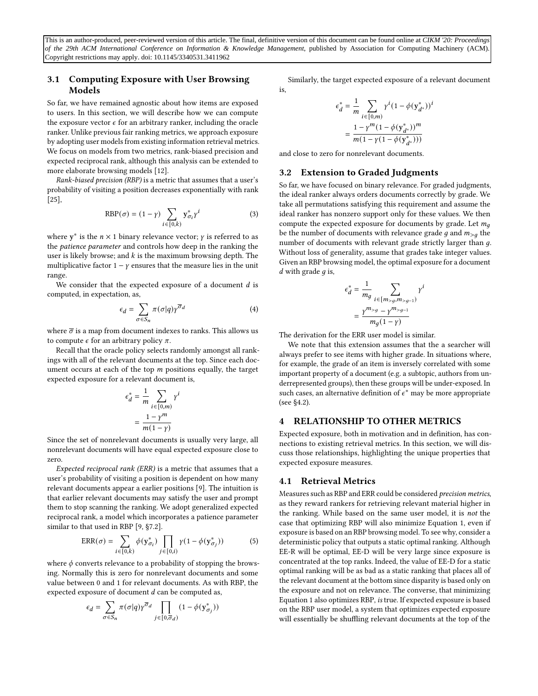## 3.1 Computing Exposure with User Browsing Models

So far, we have remained agnostic about how items are exposed to users. In this section, we will describe how we can compute the exposure vector  $\epsilon$  for an arbitrary ranker, including the oracle ranker. Unlike previous fair ranking metrics, we approach exposure by adopting user models from existing information retrieval metrics. We focus on models from two metrics, rank-biased precision and expected reciprocal rank, although this analysis can be extended to more elaborate browsing models [\[12\]](#page-10-19).

Rank-biased precision (RBP) is a metric that assumes that a user's probability of visiting a position decreases exponentially with rank [\[25\]](#page-10-20),

$$
RBP(\sigma) = (1 - \gamma) \sum_{i \in [0,k)} \mathbf{y}_{\sigma_i}^* \gamma^i \tag{3}
$$

where  $y^*$  is the  $n \times 1$  binary relevance vector;  $\gamma$  is referred to as the patience parameter and controls how deep in the ranking the user is likely browse; and  $k$  is the maximum browsing depth. The multiplicative factor  $1 - y$  ensures that the measure lies in the unit range.

We consider that the expected exposure of a document  $d$  is computed, in expectation, as,

$$
\epsilon_d = \sum_{\sigma \in S_n} \pi(\sigma | q) \gamma^{\overline{\sigma}_d} \tag{4}
$$

where  $\bar{\sigma}$  is a map from document indexes to ranks. This allows us to compute  $\epsilon$  for an arbitrary policy  $\pi$ .

Recall that the oracle policy selects randomly amongst all rankings with all of the relevant documents at the top. Since each document occurs at each of the top  $m$  positions equally, the target expected exposure for a relevant document is,

$$
\epsilon_d^* = \frac{1}{m} \sum_{i \in [0,m)} \gamma^i
$$

$$
= \frac{1 - \gamma^m}{m(1 - \gamma)}
$$

Since the set of nonrelevant documents is usually very large, all nonrelevant documents will have equal expected exposure close to zero.

Expected reciprocal rank (ERR) is a metric that assumes that a user's probability of visiting a position is dependent on how many relevant documents appear a earlier positions [\[9\]](#page-9-7). The intuition is that earlier relevant documents may satisfy the user and prompt them to stop scanning the ranking. We adopt generalized expected reciprocal rank, a model which incorporates a patience parameter similar to that used in RBP [\[9,](#page-9-7) §7.2].

$$
ERR(\sigma) = \sum_{i \in [0,k)} \phi(\mathbf{y}_{\sigma_i}^*) \prod_{j \in [0,i)} \gamma(1 - \phi(\mathbf{y}_{\sigma_j}^*))
$$
(5)

where  $\phi$  converts relevance to a probability of stopping the browsing. Normally this is zero for nonrelevant documents and some value between 0 and 1 for relevant documents. As with RBP, the expected exposure of document  $d$  can be computed as,

$$
\epsilon_d = \sum_{\sigma \in S_n} \pi(\sigma|q) \gamma^{\overline{\sigma}_d} \prod_{j \in [0, \overline{\sigma}_d)} (1 - \phi(\mathbf{y}^*_{\sigma_j}))
$$

Similarly, the target expected exposure of a relevant document is,

$$
\epsilon_d^* = \frac{1}{m} \sum_{i \in [0,m)} \gamma^i (1 - \phi(\mathbf{y}_{d^*}^*))^i
$$

$$
= \frac{1 - \gamma^m (1 - \phi(\mathbf{y}_{d^*}^*))^m}{m(1 - \gamma (1 - \phi(\mathbf{y}_{d^*}^*)))}
$$

and close to zero for nonrelevant documents.

## <span id="page-4-1"></span>3.2 Extension to Graded Judgments

So far, we have focused on binary relevance. For graded judgments, the ideal ranker always orders documents correctly by grade. We take all permutations satisfying this requirement and assume the ideal ranker has nonzero support only for these values. We then compute the expected exposure for documents by grade. Let  $m_q$ be the number of documents with relevance grade q and  $m_{>q}$  the number of documents with relevant grade strictly larger than  $g$ . Without loss of generality, assume that grades take integer values. Given an RBP browsing model, the optimal exposure for a document  $d$  with grade  $q$  is,

$$
\epsilon_d^* = \frac{1}{m_g} \sum_{i \in [m_{>g}, m_{>g-1})} \gamma^i
$$

$$
= \frac{\gamma^{m_{>g}} - \gamma^{m_{>g-1}}}{m_g(1-\gamma)}
$$

The derivation for the ERR user model is similar.

We note that this extension assumes that the a searcher will always prefer to see items with higher grade. In situations where, for example, the grade of an item is inversely correlated with some important property of a document (e.g. a subtopic, authors from underrepresented groups), then these groups will be under-exposed. In such cases, an alternative definition of  $\epsilon^*$  may be more appropriate (see [§4.2\)](#page-5-1).

## <span id="page-4-0"></span>4 RELATIONSHIP TO OTHER METRICS

Expected exposure, both in motivation and in definition, has connections to existing retrieval metrics. In this section, we will discuss those relationships, highlighting the unique properties that expected exposure measures.

#### 4.1 Retrieval Metrics

Measures such as RBP and ERR could be considered precision metrics, as they reward rankers for retrieving relevant material higher in the ranking. While based on the same user model, it is not the case that optimizing RBP will also minimize Equation [1,](#page-3-3) even if exposure is based on an RBP browsing model. To see why, consider a deterministic policy that outputs a static optimal ranking. Although EE-R will be optimal, EE-D will be very large since exposure is concentrated at the top ranks. Indeed, the value of EE-D for a static optimal ranking will be as bad as a static ranking that places all of the relevant document at the bottom since disparity is based only on the exposure and not on relevance. The converse, that minimizing Equation [1](#page-3-3) also optimizes RBP, is true. If expected exposure is based on the RBP user model, a system that optimizes expected exposure will essentially be shuffling relevant documents at the top of the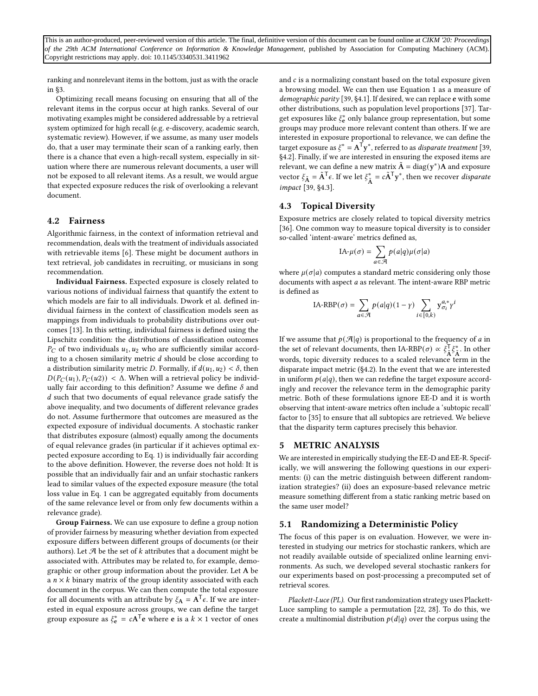ranking and nonrelevant items in the bottom, just as with the oracle in [§3.](#page-3-0)

Optimizing recall means focusing on ensuring that all of the relevant items in the corpus occur at high ranks. Several of our motivating examples might be considered addressable by a retrieval system optimized for high recall (e.g. e-discovery, academic search, systematic review). However, if we assume, as many user models do, that a user may terminate their scan of a ranking early, then there is a chance that even a high-recall system, especially in situation where there are numerous relevant documents, a user will not be exposed to all relevant items. As a result, we would argue that expected exposure reduces the risk of overlooking a relevant document.

## <span id="page-5-1"></span>4.2 Fairness

Algorithmic fairness, in the context of information retrieval and recommendation, deals with the treatment of individuals associated with retrievable items [\[6\]](#page-9-1). These might be document authors in text retrieval, job candidates in recruiting, or musicians in song recommendation.

Individual Fairness. Expected exposure is closely related to various notions of individual fairness that quantify the extent to which models are fair to all individuals. Dwork et al. defined individual fairness in the context of classification models seen as mappings from individuals to probability distributions over outcomes [\[13\]](#page-10-21). In this setting, individual fairness is defined using the Lipschitz condition: the distributions of classification outcomes  $P_C$  of two individuals  $u_1, u_2$  who are sufficiently similar according to a chosen similarity metric  $d$  should be close according to a distribution similarity metric D. Formally, if  $d(u_1, u_2) < \delta$ , then  $D(P_C(u_1), P_C(u_2)) < \Delta$ . When will a retrieval policy be individually fair according to this definition? Assume we define  $\delta$  and  $d$  such that two documents of equal relevance grade satisfy the above inequality, and two documents of different relevance grades do not. Assume furthermore that outcomes are measured as the expected exposure of individual documents. A stochastic ranker that distributes exposure (almost) equally among the documents of equal relevance grades (in particular if it achieves optimal expected exposure according to Eq. [1\)](#page-3-3) is individually fair according to the above definition. However, the reverse does not hold: It is possible that an individually fair and an unfair stochastic rankers lead to similar values of the expected exposure measure (the total loss value in Eq. [1](#page-3-3) can be aggregated equitably from documents of the same relevance level or from only few documents within a relevance grade).

Group Fairness. We can use exposure to define a group notion of provider fairness by measuring whether deviation from expected exposure differs between different groups of documents (or their authors). Let  $\mathcal A$  be the set of  $k$  attributes that a document might be associated with. Attributes may be related to, for example, demographic or other group information about the provider. Let A be a  $n \times k$  binary matrix of the group identity associated with each document in the corpus. We can then compute the total exposure for all documents with an attribute by  $\xi_{\mathbf{A}} = \mathbf{A}^{\mathsf{T}} \epsilon$ . If we are interested in equal exposure across groups, we can define the target group exposure as  $\xi_e^* = cA^T \mathbf{e}$  where **e** is a  $k \times 1$  vector of ones

and  $c$  is a normalizing constant based on the total exposure given a browsing model. We can then use Equation [1](#page-3-3) as a measure of demographic parity [\[39,](#page-10-1) §4.1]. If desired, we can replace **e** with some other distributions, such as population level proportions [\[37\]](#page-10-22). Target exposures like  $\xi_e^*$  only balance group representation, but some groups may produce more relevant content than others. If we are interested in exposure proportional to relevance, we can define the target exposure as  $\xi^* = A^{\mathsf{T}} \mathbf{y}^*$ , referred to as *disparate treatment* [\[39,](#page-10-1) §4.2]. Finally, if we are interested in ensuring the exposed items are relevant, we can define a new matrix  $\tilde{\mathbf{A}} = \text{diag}(\mathbf{y}^*)\tilde{\mathbf{A}}$  and exposure vector  $\xi_{\tilde{A}} = \tilde{A}^T \epsilon$ . If we let  $\xi_{\tilde{A}}^* = c \tilde{A}^T y^*$ , then we recover disparate impact [\[39,](#page-10-1) §4.3].

#### 4.3 Topical Diversity

Exposure metrics are closely related to topical diversity metrics [\[36\]](#page-10-23). One common way to measure topical diversity is to consider so-called 'intent-aware' metrics defined as,

$$
IA-\mu(\sigma) = \sum_{a \in \mathcal{A}} p(a|q)\mu(\sigma|a)
$$

where  $\mu(\sigma|a)$  computes a standard metric considering only those documents with aspect *a* as relevant. The intent-aware RBP metric is defined as

$$
IA-RBP(\sigma) = \sum_{a \in \mathcal{A}} p(a|q)(1-\gamma) \sum_{i \in [0,k)} y_{\sigma_i}^{a,*} \gamma^i
$$

If we assume that  $p(\mathcal{A}|q)$  is proportional to the frequency of *a* in the set of relevant documents, then IA-RBP( $\sigma$ ) ∝  $\xi_{\tilde{A}}^T \xi_{\tilde{A}}^*$ . In other words, topic diversity reduces to a scaled relevance term in the disparate impact metric ([§4.2\)](#page-5-1). In the event that we are interested in uniform  $p(a|q)$ , then we can redefine the target exposure accordingly and recover the relevance term in the demographic parity metric. Both of these formulations ignore EE-D and it is worth observing that intent-aware metrics often include a 'subtopic recall' factor to [\[35\]](#page-10-24) to ensure that all subtopics are retrieved. We believe that the disparity term captures precisely this behavior.

## <span id="page-5-0"></span>5 METRIC ANALYSIS

We are interested in empirically studying the EE-D and EE-R. Specifically, we will answering the following questions in our experiments: (i) can the metric distinguish between different randomization strategies? (ii) does an exposure-based relevance metric measure something different from a static ranking metric based on the same user model?

## 5.1 Randomizing a Deterministic Policy

The focus of this paper is on evaluation. However, we were interested in studying our metrics for stochastic rankers, which are not readily available outside of specialized online learning environments. As such, we developed several stochastic rankers for our experiments based on post-processing a precomputed set of retrieval scores.

Plackett-Luce (PL). Our first randomization strategy uses Plackett-Luce sampling to sample a permutation [\[22,](#page-10-25) [28\]](#page-10-26). To do this, we create a multinomial distribution  $p(d|q)$  over the corpus using the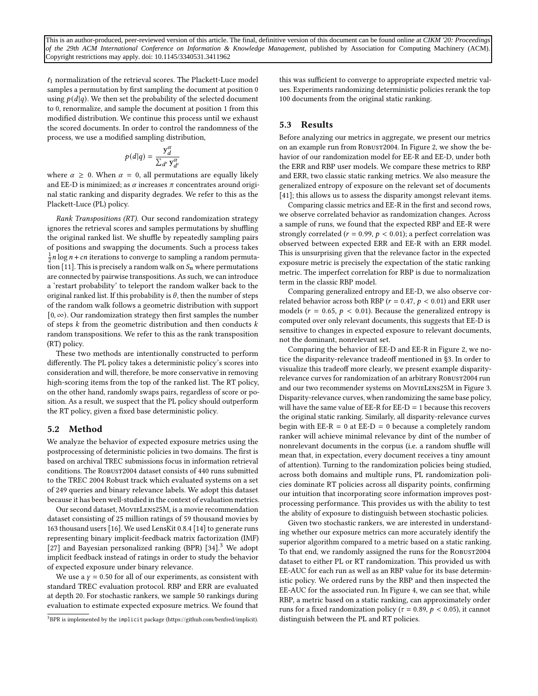$\ell_1$  normalization of the retrieval scores. The Plackett-Luce model samples a permutation by first sampling the document at position 0 using  $p(d|q)$ . We then set the probability of the selected document to 0, renormalize, and sample the document at position 1 from this modified distribution. We continue this process until we exhaust the scored documents. In order to control the randomness of the process, we use a modified sampling distribution,

$$
p(d|q) = \frac{y_d^{\alpha}}{\sum_{d'} y_{d'}^{\alpha}}
$$

where  $\alpha \geq 0$ . When  $\alpha = 0$ , all permutations are equally likely and EE-D is minimized; as  $\alpha$  increases  $\pi$  concentrates around original static ranking and disparity degrades. We refer to this as the Plackett-Luce (PL) policy.

Rank Transpositions (RT). Our second randomization strategy ignores the retrieval scores and samples permutations by shuffling the original ranked list. We shuffle by repeatedly sampling pairs of positions and swapping the documents. Such a process takes  $\frac{1}{2}n \log n + cn$  iterations to converge to sampling a random permuta-tion [\[11\]](#page-9-8). This is precisely a random walk on  $S_n$  where permutations are connected by pairwise transpositions. As such, we can introduce a 'restart probability' to teleport the random walker back to the original ranked list. If this probability is  $\theta$ , then the number of steps of the random walk follows a geometric distribution with support [0, ∞). Our randomization strategy then first samples the number of steps  $k$  from the geometric distribution and then conducts  $k$ random transpositions. We refer to this as the rank transposition (RT) policy.

These two methods are intentionally constructed to perform differently. The PL policy takes a deterministic policy's scores into consideration and will, therefore, be more conservative in removing high-scoring items from the top of the ranked list. The RT policy, on the other hand, randomly swaps pairs, regardless of score or position. As a result, we suspect that the PL policy should outperform the RT policy, given a fixed base deterministic policy.

#### 5.2 Method

We analyze the behavior of expected exposure metrics using the postprocessing of deterministic policies in two domains. The first is based on archival TREC submissions focus in information retrieval conditions. The ROBUST2004 dataset consists of 440 runs submitted to the TREC 2004 Robust track which evaluated systems on a set of 249 queries and binary relevance labels. We adopt this dataset because it has been well-studied in the context of evaluation metrics.

Our second dataset, MovieLens25M, is a movie recommendation dataset consisting of 25 million ratings of 59 thousand movies by 163 thousand users [\[16\]](#page-10-27). We used LensKit 0.8.4 [\[14\]](#page-10-28) to generate runs representing binary implicit-feedback matrix factorization (IMF) [\[27\]](#page-10-29) and Bayesian personalized ranking (BPR)  $[34]$ .<sup>[3](#page-6-1)</sup> We adopt implicit feedback instead of ratings in order to study the behavior of expected exposure under binary relevance.

We use a  $\gamma$  = 0.50 for all of our experiments, as consistent with standard TREC evaluation protocol. RBP and ERR are evaluated at depth 20. For stochastic rankers, we sample 50 rankings during evaluation to estimate expected exposure metrics. We found that this was sufficient to converge to appropriate expected metric values. Experiments randomizing deterministic policies rerank the top 100 documents from the original static ranking.

## <span id="page-6-0"></span>5.3 Results

Before analyzing our metrics in aggregate, we present our metrics on an example run from Robust2004. In Figure [2,](#page-7-1) we show the behavior of our randomization model for EE-R and EE-D, under both the ERR and RBP user models. We compare these metrics to RBP and ERR, two classic static ranking metrics. We also measure the generalized entropy of exposure on the relevant set of documents [\[41\]](#page-10-31); this allows us to assess the disparity amongst relevant items.

Comparing classic metrics and EE-R in the first and second rows, we observe correlated behavior as randomization changes. Across a sample of runs, we found that the expected RBP and EE-R were strongly correlated ( $r = 0.99$ ,  $p < 0.01$ ); a perfect correlation was observed between expected ERR and EE-R with an ERR model. This is unsurprising given that the relevance factor in the expected exposure metric is precisely the expectation of the static ranking metric. The imperfect correlation for RBP is due to normalization term in the classic RBP model.

Comparing generalized entropy and EE-D, we also observe correlated behavior across both RBP ( $r = 0.47$ ,  $p < 0.01$ ) and ERR user models ( $r = 0.65$ ,  $p < 0.01$ ). Because the generalized entropy is computed over only relevant documents, this suggests that EE-D is sensitive to changes in expected exposure to relevant documents, not the dominant, nonrelevant set.

Comparing the behavior of EE-D and EE-R in Figure [2,](#page-7-1) we notice the disparity-relevance tradeoff mentioned in [§3.](#page-3-0) In order to visualize this tradeoff more clearly, we present example disparityrelevance curves for randomization of an arbitrary Robust2004 run and our two recommender systems on MovieLens25M in Figure [3.](#page-7-2) Disparity-relevance curves, when randomizing the same base policy, will have the same value of  $EE-R$  for  $EE-D = 1$  because this recovers the original static ranking. Similarly, all disparity-relevance curves begin with  $EE-R = 0$  at  $EE-D = 0$  because a completely random ranker will achieve minimal relevance by dint of the number of nonrelevant documents in the corpus (i.e. a random shuffle will mean that, in expectation, every document receives a tiny amount of attention). Turning to the randomization policies being studied, across both domains and multiple runs, PL randomization policies dominate RT policies across all disparity points, confirming our intuition that incorporating score information improves postprocessing performance. This provides us with the ability to test the ability of exposure to distinguish between stochastic policies.

Given two stochastic rankers, we are interested in understanding whether our exposure metrics can more accurately identify the superior algorithm compared to a metric based on a static ranking. To that end, we randomly assigned the runs for the ROBUST2004 dataset to either PL or RT randomization. This provided us with EE-AUC for each run as well as an RBP value for its base deterministic policy. We ordered runs by the RBP and then inspected the EE-AUC for the associated run. In Figure [4,](#page-7-3) we can see that, while RBP, a metric based on a static ranking, can approximately order runs for a fixed randomization policy ( $\tau = 0.89$ ,  $p < 0.05$ ), it cannot distinguish between the PL and RT policies.

<span id="page-6-1"></span><sup>3</sup>BPR is implemented by the implicit package [\(https://github.com/benfred/implicit\)](https://github.com/benfred/implicit).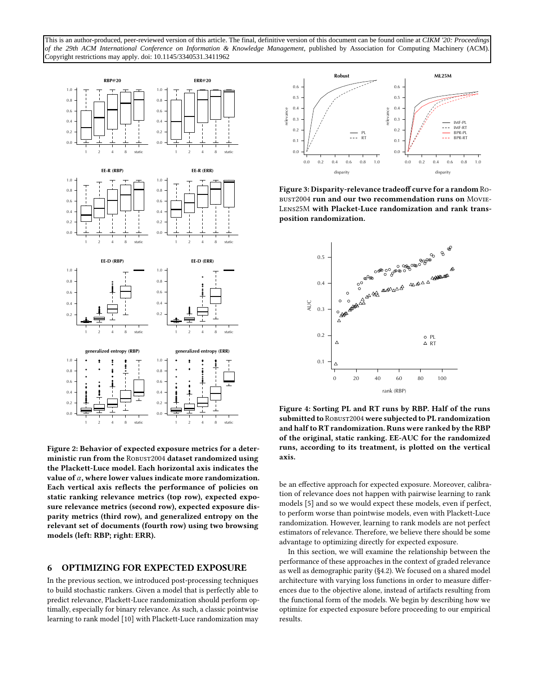<span id="page-7-1"></span>

Figure 2: Behavior of expected exposure metrics for a deterministic run from the ROBUST2004 dataset randomized using the Plackett-Luce model. Each horizontal axis indicates the value of  $\alpha$ , where lower values indicate more randomization. Each vertical axis reflects the performance of policies on static ranking relevance metrics (top row), expected exposure relevance metrics (second row), expected exposure disparity metrics (third row), and generalized entropy on the relevant set of documents (fourth row) using two browsing models (left: RBP; right: ERR).

## <span id="page-7-0"></span>6 OPTIMIZING FOR EXPECTED EXPOSURE

In the previous section, we introduced post-processing techniques to build stochastic rankers. Given a model that is perfectly able to predict relevance, Plackett-Luce randomization should perform optimally, especially for binary relevance. As such, a classic pointwise learning to rank model [\[10\]](#page-9-9) with Plackett-Luce randomization may

<span id="page-7-2"></span>

Figure 3: Disparity-relevance tradeoff curve for a random Robust2004 run and our two recommendation runs on Movie-Lens25M with Placket-Luce randomization and rank transposition randomization.

<span id="page-7-3"></span>

Figure 4: Sorting PL and RT runs by RBP. Half of the runs submitted to ROBUST2004 were subjected to PL randomization and half to RT randomization. Runs were ranked by the RBP of the original, static ranking. EE-AUC for the randomized runs, according to its treatment, is plotted on the vertical axis.

be an effective approach for expected exposure. Moreover, calibration of relevance does not happen with pairwise learning to rank models [\[5\]](#page-9-10) and so we would expect these models, even if perfect, to perform worse than pointwise models, even with Plackett-Luce randomization. However, learning to rank models are not perfect estimators of relevance. Therefore, we believe there should be some advantage to optimizing directly for expected exposure.

In this section, we will examine the relationship between the performance of these approaches in the context of graded relevance as well as demographic parity ([§4.2\)](#page-5-1). We focused on a shared model architecture with varying loss functions in order to measure differences due to the objective alone, instead of artifacts resulting from the functional form of the models. We begin by describing how we optimize for expected exposure before proceeding to our empirical results.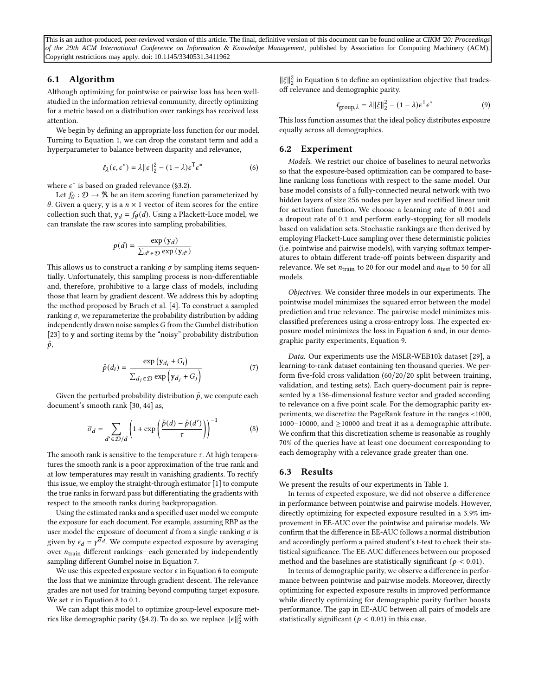## 6.1 Algorithm

Although optimizing for pointwise or pairwise loss has been wellstudied in the information retrieval community, directly optimizing for a metric based on a distribution over rankings has received less attention.

We begin by defining an appropriate loss function for our model. Turning to Equation [1,](#page-3-3) we can drop the constant term and add a hyperparameter to balance between disparity and relevance,

$$
\ell_{\lambda}(\epsilon, \epsilon^*) = \lambda ||\epsilon||_2^2 - (1 - \lambda)\epsilon^{\mathsf{T}} \epsilon^*
$$
 (6)

where  $\epsilon^*$  is based on graded relevance ([§3.2\)](#page-4-1).

Let  $f_\theta : \mathcal{D} \to \mathbb{R}$  be an item scoring function parameterized by  $\theta$ . Given a query, y is a  $n \times 1$  vector of item scores for the entire collection such that,  $y_d = f_\theta(d)$ . Using a Plackett-Luce model, we can translate the raw scores into sampling probabilities,

$$
p(d) = \frac{\exp{(y_d)}}{\sum_{d' \in \mathcal{D}} \exp{(y_{d'})}}
$$

This allows us to construct a ranking  $\sigma$  by sampling items sequentially. Unfortunately, this sampling process is non-differentiable and, therefore, prohibitive to a large class of models, including those that learn by gradient descent. We address this by adopting the method proposed by Bruch et al. [\[4\]](#page-9-6). To construct a sampled ranking  $\sigma$ , we reparameterize the probability distribution by adding independently drawn noise samples  $G$  from the Gumbel distribution [\[23\]](#page-10-32) to y and sorting items by the "noisy" probability distribution  $\tilde{p}$ ,

$$
\tilde{p}(d_i) = \frac{\exp (y_{d_i} + G_i)}{\sum_{d_j \in \mathcal{D}} \exp (y_{d_j} + G_j)}
$$
(7)

Given the perturbed probability distribution  $\tilde{p}$ , we compute each document's smooth rank [\[30,](#page-10-33) [44\]](#page-10-34) as,

$$
\overline{\sigma}_d = \sum_{d' \in \mathcal{D}/d} \left( 1 + \exp\left(\frac{\tilde{p}(d) - \tilde{p}(d')}{\tau}\right) \right)^{-1} \tag{8}
$$

The smooth rank is sensitive to the temperature  $\tau$ . At high temperatures the smooth rank is a poor approximation of the true rank and at low temperatures may result in vanishing gradients. To rectify this issue, we employ the straight-through estimator [\[1\]](#page-9-11) to compute the true ranks in forward pass but differentiating the gradients with respect to the smooth ranks during backpropagation.

Using the estimated ranks and a specified user model we compute the exposure for each document. For example, assuming RBP as the user model the exposure of document  $d$  from a single ranking  $\sigma$  is given by  $\epsilon_d = \gamma^{\overline{\sigma}_d}$ . We compute expected exposure by averaging over  $n_{\text{train}}$  different rankings—each generated by independently sampling different Gumbel noise in Equation [7.](#page-8-0)

We use this expected exposure vector  $\epsilon$  in Equation [6](#page-8-1) to compute the loss that we minimize through gradient descent. The relevance grades are not used for training beyond computing target exposure. We set  $\tau$  in Equation [8](#page-8-2) to 0.1.

We can adapt this model to optimize group-level exposure met-rics like demographic parity ([§4.2\)](#page-5-1). To do so, we replace  $\|\epsilon\|_2^2$  with

 $\|\xi\|_2^2$  in Equation [6](#page-8-1) to define an optimization objective that tradesoff relevance and demographic parity.

<span id="page-8-3"></span>
$$
\ell_{\text{group},\lambda} = \lambda \|\xi\|_2^2 - (1 - \lambda)\epsilon^{\mathsf{T}} \epsilon^* \tag{9}
$$

This loss function assumes that the ideal policy distributes exposure equally across all demographics.

#### 6.2 Experiment

<span id="page-8-1"></span>Models. We restrict our choice of baselines to neural networks so that the exposure-based optimization can be compared to baseline ranking loss functions with respect to the same model. Our base model consists of a fully-connected neural network with two hidden layers of size 256 nodes per layer and rectified linear unit for activation function. We choose a learning rate of 0.001 and a dropout rate of 0.1 and perform early-stopping for all models based on validation sets. Stochastic rankings are then derived by employing Plackett-Luce sampling over these deterministic policies (i.e. pointwise and pairwise models), with varying softmax temperatures to obtain different trade-off points between disparity and relevance. We set  $n_{\text{train}}$  to 20 for our model and  $n_{\text{test}}$  to 50 for all models.

Objectives. We consider three models in our experiments. The pointwise model minimizes the squared error between the model prediction and true relevance. The pairwise model minimizes misclassified preferences using a cross-entropy loss. The expected exposure model minimizes the loss in Equation [6](#page-8-1) and, in our demographic parity experiments, Equation [9.](#page-8-3)

<span id="page-8-0"></span>Data. Our experiments use the MSLR-WEB10k dataset [\[29\]](#page-10-35), a learning-to-rank dataset containing ten thousand queries. We perform five-fold cross validation (60/20/20 split between training, validation, and testing sets). Each query-document pair is represented by a 136-dimensional feature vector and graded according to relevance on a five point scale. For the demographic parity experiments, we discretize the PageRank feature in the ranges <1000, 1000–10000, and ≥10000 and treat it as a demographic attribute. We confirm that this discretization scheme is reasonable as roughly 70% of the queries have at least one document corresponding to each demography with a relevance grade greater than one.

## <span id="page-8-2"></span>6.3 Results

We present the results of our experiments in Table [1.](#page-9-12)

In terms of expected exposure, we did not observe a difference in performance between pointwise and pairwise models. However, directly optimizing for expected exposure resulted in a 3.9% improvement in EE-AUC over the pointwise and pairwise models. We confirm that the difference in EE-AUC follows a normal distribution and accordingly perform a paired student's t-test to check their statistical significance. The EE-AUC differences between our proposed method and the baselines are statistically significant ( $p < 0.01$ ).

In terms of demographic parity, we observe a difference in performance between pointwise and pairwise models. Moreover, directly optimizing for expected exposure results in improved performance while directly optimizing for demographic parity further boosts performance. The gap in EE-AUC between all pairs of models are statistically significant ( $p < 0.01$ ) in this case.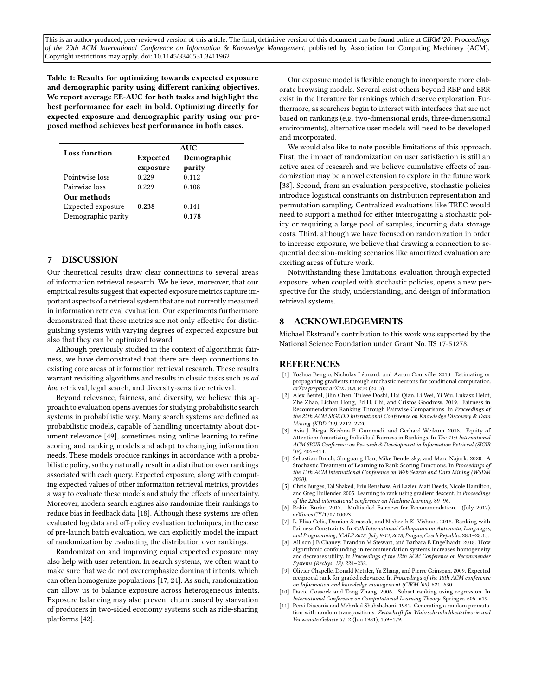<span id="page-9-12"></span>Table 1: Results for optimizing towards expected exposure and demographic parity using different ranking objectives. We report average EE-AUC for both tasks and highlight the best performance for each in bold. Optimizing directly for expected exposure and demographic parity using our proposed method achieves best performance in both cases.

| Loss function      | <b>AUC</b> |             |
|--------------------|------------|-------------|
|                    | Expected   | Demographic |
|                    | exposure   | parity      |
| Pointwise loss     | 0.229      | 0.112       |
| Pairwise loss      | 0.229      | 0.108       |
| Our methods        |            |             |
| Expected exposure  | 0.238      | 0.141       |
| Demographic parity |            | 0.178       |

## <span id="page-9-3"></span>7 DISCUSSION

Our theoretical results draw clear connections to several areas of information retrieval research. We believe, moreover, that our empirical results suggest that expected exposure metrics capture important aspects of a retrieval system that are not currently measured in information retrieval evaluation. Our experiments furthermore demonstrated that these metrics are not only effective for distinguishing systems with varying degrees of expected exposure but also that they can be optimized toward.

Although previously studied in the context of algorithmic fairness, we have demonstrated that there are deep connections to existing core areas of information retrieval research. These results warrant revisiting algorithms and results in classic tasks such as ad hoc retrieval, legal search, and diversity-sensitive retrieval.

Beyond relevance, fairness, and diversity, we believe this approach to evaluation opens avenues for studying probabilistic search systems in probabilistic way. Many search systems are defined as probabilistic models, capable of handling uncertainty about document relevance [\[49\]](#page-10-36), sometimes using online learning to refine scoring and ranking models and adapt to changing information needs. These models produce rankings in accordance with a probabilistic policy, so they naturally result in a distribution over rankings associated with each query. Expected exposure, along with computing expected values of other information retrieval metrics, provides a way to evaluate these models and study the effects of uncertainty. Moreover, modern search engines also randomize their rankings to reduce bias in feedback data [\[18\]](#page-10-13). Although these systems are often evaluated log data and off-policy evaluation techniques, in the case of pre-launch batch evaluation, we can explicitly model the impact of randomization by evaluating the distribution over rankings.

Randomization and improving equal expected exposure may also help with user retention. In search systems, we often want to make sure that we do not overemphasize dominant intents, which can often homogenize populations [\[17,](#page-10-3) [24\]](#page-10-2). As such, randomization can allow us to balance exposure across heterogeneous intents. Exposure balancing may also prevent churn caused by starvation of producers in two-sided economy systems such as ride-sharing platforms [\[42\]](#page-10-37).

Our exposure model is flexible enough to incorporate more elaborate browsing models. Several exist others beyond RBP and ERR exist in the literature for rankings which deserve exploration. Furthermore, as searchers begin to interact with interfaces that are not based on rankings (e.g. two-dimensional grids, three-dimensional environments), alternative user models will need to be developed and incorporated.

We would also like to note possible limitations of this approach. First, the impact of randomization on user satisfaction is still an active area of research and we believe cumulative effects of randomization may be a novel extension to explore in the future work [\[38\]](#page-10-38). Second, from an evaluation perspective, stochastic policies introduce logistical constraints on distribution representation and permutation sampling. Centralized evaluations like TREC would need to support a method for either interrogating a stochastic policy or requiring a large pool of samples, incurring data storage costs. Third, although we have focused on randomization in order to increase exposure, we believe that drawing a connection to sequential decision-making scenarios like amortized evaluation are exciting areas of future work.

Notwithstanding these limitations, evaluation through expected exposure, when coupled with stochastic policies, opens a new perspective for the study, understanding, and design of information retrieval systems.

## 8 ACKNOWLEDGEMENTS

Michael Ekstrand's contribution to this work was supported by the National Science Foundation under Grant No. IIS 17-51278.

#### **REFERENCES**

- <span id="page-9-11"></span>[1] Yoshua Bengio, Nicholas Léonard, and Aaron Courville. 2013. Estimating or propagating gradients through stochastic neurons for conditional computation. arXiv preprint arXiv:1308.3432 (2013).
- <span id="page-9-5"></span>[2] Alex Beutel, Jilin Chen, Tulsee Doshi, Hai Qian, Li Wei, Yi Wu, Lukasz Heldt, Zhe Zhao, Lichan Hong, Ed H. Chi, and Cristos Goodrow. 2019. Fairness in Recommendation Ranking Through Pairwise Comparisons. In Proceedings of the 25th ACM SIGKDD International Conference on Knowledge Discovery & Data Mining (KDD '19). 2212–2220.
- <span id="page-9-0"></span>[3] Asia J. Biega, Krishna P. Gummadi, and Gerhard Weikum. 2018. Equity of Attention: Amortizing Individual Fairness in Rankings. In The 41st International ACM SIGIR Conference on Research & Development in Information Retrieval (SIGIR '18). 405–414.
- <span id="page-9-6"></span>[4] Sebastian Bruch, Shuguang Han, Mike Bendersky, and Marc Najork. 2020. A Stochastic Treatment of Learning to Rank Scoring Functions. In Proceedings of the 13th ACM International Conference on Web Search and Data Mining (WSDM 2020).
- <span id="page-9-10"></span>[5] Chris Burges, Tal Shaked, Erin Renshaw, Ari Lazier, Matt Deeds, Nicole Hamilton, and Greg Hullender. 2005. Learning to rank using gradient descent. In Proceedings of the 22nd international conference on Machine learning. 89–96.
- <span id="page-9-1"></span>Robin Burke. 2017. Multisided Fairness for Recommendation. (July 2017). arXiv[:cs.CY/1707.00093](http://arxiv.org/abs/cs.CY/1707.00093)
- <span id="page-9-4"></span>[7] L. Elisa Celis, Damian Straszak, and Nisheeth K. Vishnoi. 2018. Ranking with Fairness Constraints. In 45th International Colloquium on Automata, Languages, and Programming, ICALP 2018, July 9-13, 2018, Prague, Czech Republic. 28:1–28:15.
- <span id="page-9-2"></span>[8] Allison J B Chaney, Brandon M Stewart, and Barbara E Engelhardt. 2018. How algorithmic confounding in recommendation systems increases homogeneity and decreases utility. In Proceedings of the 12th ACM Conference on Recommender Systems (RecSys '18). 224–232.
- <span id="page-9-7"></span>[9] Olivier Chapelle, Donald Metzler, Ya Zhang, and Pierre Grinspan. 2009. Expected reciprocal rank for graded relevance. In Proceedings of the 18th ACM conference on Information and knowledge management (CIKM '09). 621–630.
- <span id="page-9-9"></span>[10] David Cossock and Tong Zhang. 2006. Subset ranking using regression. In International Conference on Computational Learning Theory. Springer, 605–619.
- <span id="page-9-8"></span>[11] Persi Diaconis and Mehrdad Shahshahani. 1981. Generating a random permutation with random transpositions. Zeitschrift für Wahrscheinlichkeitstheorie und Verwandte Gebiete 57, 2 (Jun 1981), 159–179.